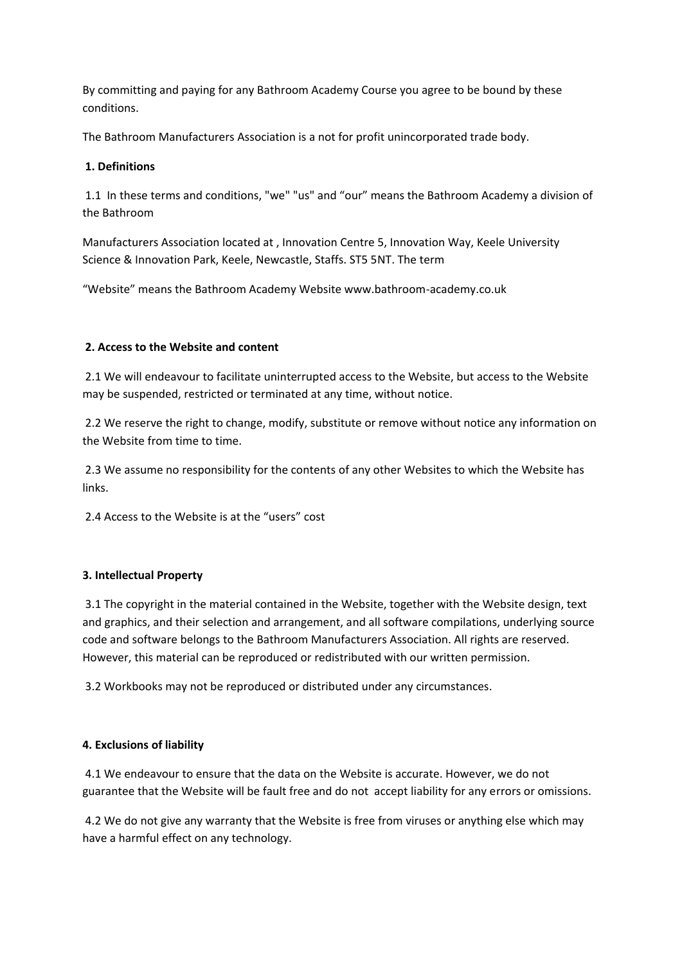By committing and paying for any Bathroom Academy Course you agree to be bound by these conditions.

The Bathroom Manufacturers Association is a not for profit unincorporated trade body.

## **1. Definitions**

1.1 In these terms and conditions, "we" "us" and "our" means the Bathroom Academy a division of the Bathroom

Manufacturers Association located at , Innovation Centre 5, Innovation Way, Keele University Science & Innovation Park, Keele, Newcastle, Staffs. ST5 5NT. The term

"Website" means the Bathroom Academy Website www.bathroom-academy.co.uk

# **2. Access to the Website and content**

2.1 We will endeavour to facilitate uninterrupted access to the Website, but access to the Website may be suspended, restricted or terminated at any time, without notice.

2.2 We reserve the right to change, modify, substitute or remove without notice any information on the Website from time to time.

2.3 We assume no responsibility for the contents of any other Websites to which the Website has links.

2.4 Access to the Website is at the "users" cost

#### **3. Intellectual Property**

3.1 The copyright in the material contained in the Website, together with the Website design, text and graphics, and their selection and arrangement, and all software compilations, underlying source code and software belongs to the Bathroom Manufacturers Association. All rights are reserved. However, this material can be reproduced or redistributed with our written permission.

3.2 Workbooks may not be reproduced or distributed under any circumstances.

#### **4. Exclusions of liability**

4.1 We endeavour to ensure that the data on the Website is accurate. However, we do not guarantee that the Website will be fault free and do not accept liability for any errors or omissions.

4.2 We do not give any warranty that the Website is free from viruses or anything else which may have a harmful effect on any technology.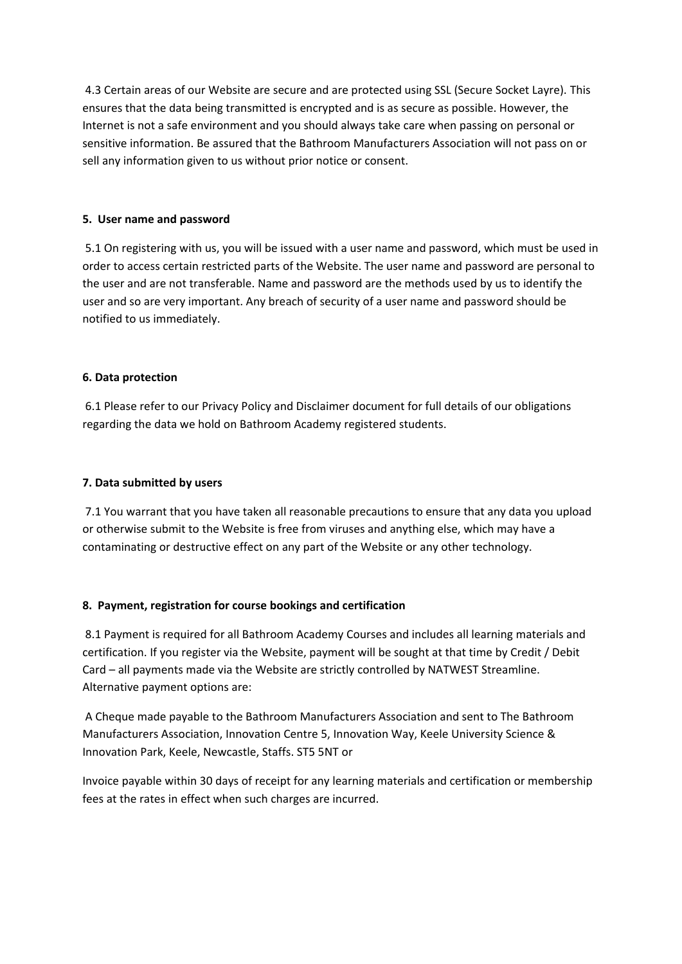4.3 Certain areas of our Website are secure and are protected using SSL (Secure Socket Layre). This ensures that the data being transmitted is encrypted and is as secure as possible. However, the Internet is not a safe environment and you should always take care when passing on personal or sensitive information. Be assured that the Bathroom Manufacturers Association will not pass on or sell any information given to us without prior notice or consent.

# **5. User name and password**

5.1 On registering with us, you will be issued with a user name and password, which must be used in order to access certain restricted parts of the Website. The user name and password are personal to the user and are not transferable. Name and password are the methods used by us to identify the user and so are very important. Any breach of security of a user name and password should be notified to us immediately.

# **6. Data protection**

6.1 Please refer to our Privacy Policy and Disclaimer document for full details of our obligations regarding the data we hold on Bathroom Academy registered students.

## **7. Data submitted by users**

7.1 You warrant that you have taken all reasonable precautions to ensure that any data you upload or otherwise submit to the Website is free from viruses and anything else, which may have a contaminating or destructive effect on any part of the Website or any other technology.

# **8. Payment, registration for course bookings and certification**

8.1 Payment is required for all Bathroom Academy Courses and includes all learning materials and certification. If you register via the Website, payment will be sought at that time by Credit / Debit Card – all payments made via the Website are strictly controlled by NATWEST Streamline. Alternative payment options are:

A Cheque made payable to the Bathroom Manufacturers Association and sent to The Bathroom Manufacturers Association, Innovation Centre 5, Innovation Way, Keele University Science & Innovation Park, Keele, Newcastle, Staffs. ST5 5NT or

Invoice payable within 30 days of receipt for any learning materials and certification or membership fees at the rates in effect when such charges are incurred.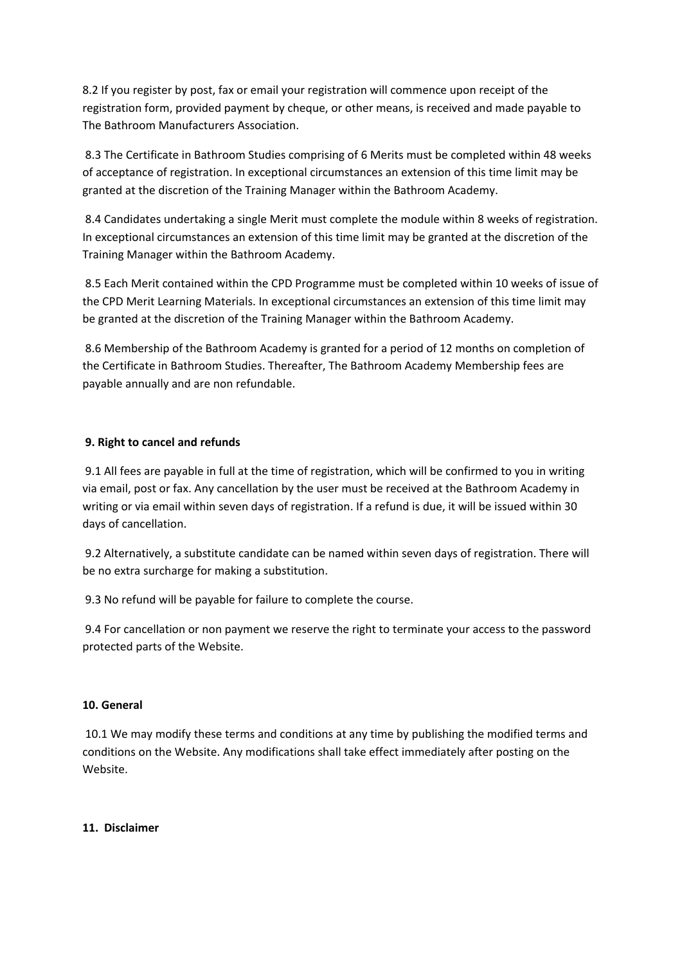8.2 If you register by post, fax or email your registration will commence upon receipt of the registration form, provided payment by cheque, or other means, is received and made payable to The Bathroom Manufacturers Association.

8.3 The Certificate in Bathroom Studies comprising of 6 Merits must be completed within 48 weeks of acceptance of registration. In exceptional circumstances an extension of this time limit may be granted at the discretion of the Training Manager within the Bathroom Academy.

8.4 Candidates undertaking a single Merit must complete the module within 8 weeks of registration. In exceptional circumstances an extension of this time limit may be granted at the discretion of the Training Manager within the Bathroom Academy.

8.5 Each Merit contained within the CPD Programme must be completed within 10 weeks of issue of the CPD Merit Learning Materials. In exceptional circumstances an extension of this time limit may be granted at the discretion of the Training Manager within the Bathroom Academy.

8.6 Membership of the Bathroom Academy is granted for a period of 12 months on completion of the Certificate in Bathroom Studies. Thereafter, The Bathroom Academy Membership fees are payable annually and are non refundable.

# **9. Right to cancel and refunds**

9.1 All fees are payable in full at the time of registration, which will be confirmed to you in writing via email, post or fax. Any cancellation by the user must be received at the Bathroom Academy in writing or via email within seven days of registration. If a refund is due, it will be issued within 30 days of cancellation.

9.2 Alternatively, a substitute candidate can be named within seven days of registration. There will be no extra surcharge for making a substitution.

9.3 No refund will be payable for failure to complete the course.

9.4 For cancellation or non payment we reserve the right to terminate your access to the password protected parts of the Website.

#### **10. General**

10.1 We may modify these terms and conditions at any time by publishing the modified terms and conditions on the Website. Any modifications shall take effect immediately after posting on the Website.

## **11. Disclaimer**